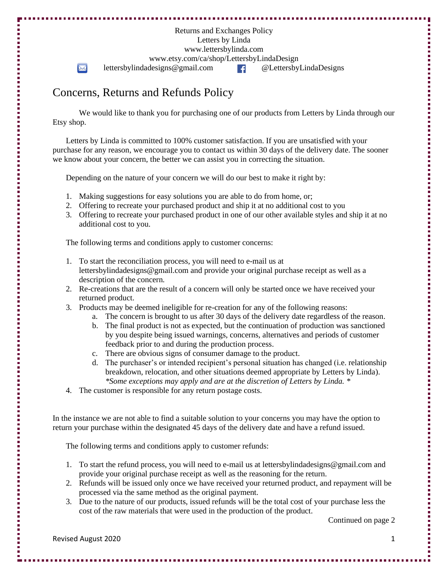Returns and Exchanges Policy Letters by Linda www.lettersbylinda.com www.etsy.com/ca/shop/LettersbyLindaDesign  $\boxtimes$ lettersbylindadesigns@gmail.com @LettersbyLindaDesigns

## Concerns, Returns and Refunds Policy

We would like to thank you for purchasing one of our products from Letters by Linda through our Etsy shop.

Letters by Linda is committed to 100% customer satisfaction. If you are unsatisfied with your purchase for any reason, we encourage you to contact us within 30 days of the delivery date. The sooner we know about your concern, the better we can assist you in correcting the situation.

Depending on the nature of your concern we will do our best to make it right by:

- 1. Making suggestions for easy solutions you are able to do from home, or;
- 2. Offering to recreate your purchased product and ship it at no additional cost to you
- 3. Offering to recreate your purchased product in one of our other available styles and ship it at no additional cost to you.

The following terms and conditions apply to customer concerns:

- 1. To start the reconciliation process, you will need to e-mail us at lettersbylindadesigns@gmail.com and provide your original purchase receipt as well as a description of the concern.
- 2. Re-creations that are the result of a concern will only be started once we have received your returned product.
- 3. Products may be deemed ineligible for re-creation for any of the following reasons:
	- a. The concern is brought to us after 30 days of the delivery date regardless of the reason.
	- b. The final product is not as expected, but the continuation of production was sanctioned by you despite being issued warnings, concerns, alternatives and periods of customer feedback prior to and during the production process.
	- c. There are obvious signs of consumer damage to the product.
	- d. The purchaser's or intended recipient's personal situation has changed (i.e. relationship breakdown, relocation, and other situations deemed appropriate by Letters by Linda). *\*Some exceptions may apply and are at the discretion of Letters by Linda. \**
- 4. The customer is responsible for any return postage costs.

In the instance we are not able to find a suitable solution to your concerns you may have the option to return your purchase within the designated 45 days of the delivery date and have a refund issued.

The following terms and conditions apply to customer refunds:

- 1. To start the refund process, you will need to e-mail us at lettersbylindadesigns@gmail.com and provide your original purchase receipt as well as the reasoning for the return.
- 2. Refunds will be issued only once we have received your returned product, and repayment will be processed via the same method as the original payment.
- 3. Due to the nature of our products, issued refunds will be the total cost of your purchase less the cost of the raw materials that were used in the production of the product.

Continued on page 2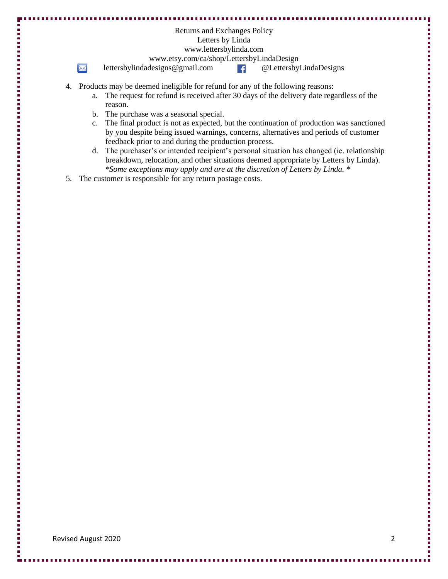|    |                                           | Letters by Linda<br>www.lettersbylinda.com                                                  |
|----|-------------------------------------------|---------------------------------------------------------------------------------------------|
|    | www.etsy.com/ca/shop/LettersbyLindaDesign |                                                                                             |
|    | $\bowtie$                                 | lettersbylindadesigns@gmail.com<br>@LettersbyLindaDesigns<br>∣£.                            |
| 4. |                                           | Products may be deemed ineligible for refund for any of the following reasons:              |
|    | a.                                        | The request for refund is received after 30 days of the delivery date regardless of the     |
|    |                                           | reason.                                                                                     |
|    | b.                                        | The purchase was a seasonal special.                                                        |
|    | $c_{\cdot}$                               | The final product is not as expected, but the continuation of production was sanctioned     |
|    |                                           | by you despite being issued warnings, concerns, alternatives and periods of customer        |
|    |                                           | feedback prior to and during the production process.                                        |
|    |                                           | d. The purchaser's or intended recipient's personal situation has changed (ie. relationship |
|    |                                           | breakdown, relocation, and other situations deemed appropriate by Letters by Linda).        |
|    |                                           | *Some exceptions may apply and are at the discretion of Letters by Linda. *                 |
| 5. |                                           | The customer is responsible for any return postage costs.                                   |

**B B** m a

 $\blacksquare$ 

Į I. . . . . .

Ē Г

医血管 医血管炎

医皮肤 医皮肤病

,,,,,,,,,,,,,